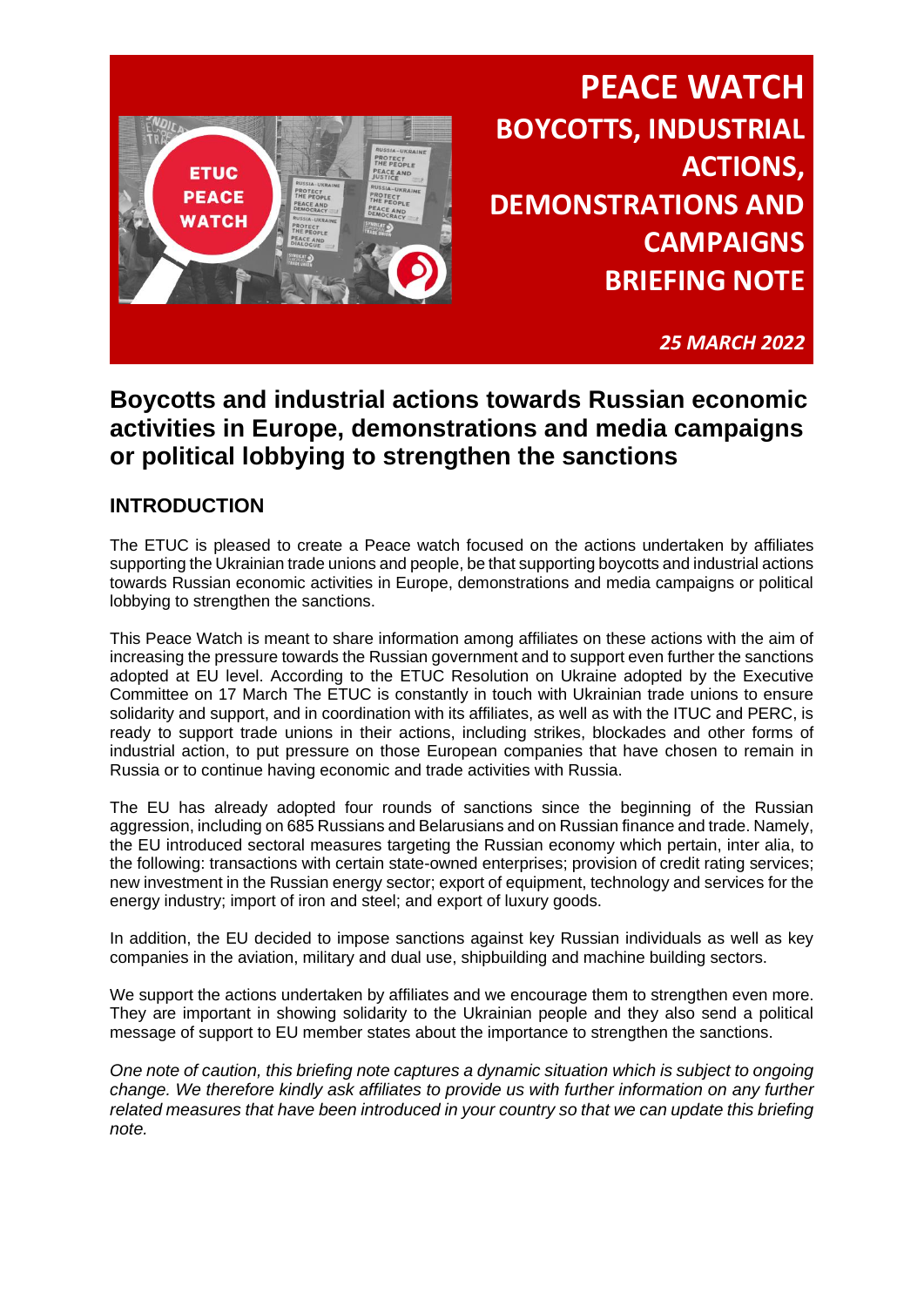

*25 MARCH 2022*

### **Boycotts and industrial actions towards Russian economic activities in Europe, demonstrations and media campaigns or political lobbying to strengthen the sanctions**

### **INTRODUCTION**

The ETUC is pleased to create a Peace watch focused on the actions undertaken by affiliates supporting the Ukrainian trade unions and people, be that supporting boycotts and industrial actions towards Russian economic activities in Europe, demonstrations and media campaigns or political lobbying to strengthen the sanctions.

This Peace Watch is meant to share information among affiliates on these actions with the aim of increasing the pressure towards the Russian government and to support even further the sanctions adopted at EU level. According to the ETUC Resolution on Ukraine adopted by the Executive Committee on 17 March The ETUC is constantly in touch with Ukrainian trade unions to ensure solidarity and support, and in coordination with its affiliates, as well as with the ITUC and PERC, is ready to support trade unions in their actions, including strikes, blockades and other forms of industrial action, to put pressure on those European companies that have chosen to remain in Russia or to continue having economic and trade activities with Russia.

The EU has already adopted four rounds of sanctions since the beginning of the Russian aggression, including on 685 Russians and Belarusians and on Russian finance and trade. Namely, the EU introduced sectoral measures targeting the Russian economy which pertain, inter alia, to the following: transactions with certain state-owned enterprises; provision of credit rating services; new investment in the Russian energy sector; export of equipment, technology and services for the energy industry; import of iron and steel; and export of luxury goods.

In addition, the EU decided to impose sanctions against key Russian individuals as well as key companies in the aviation, military and dual use, shipbuilding and machine building sectors.

We support the actions undertaken by affiliates and we encourage them to strengthen even more. They are important in showing solidarity to the Ukrainian people and they also send a political message of support to EU member states about the importance to strengthen the sanctions.

*One note of caution, this briefing note captures a dynamic situation which is subject to ongoing change. We therefore kindly ask affiliates to provide us with further information on any further related measures that have been introduced in your country so that we can update this briefing note.*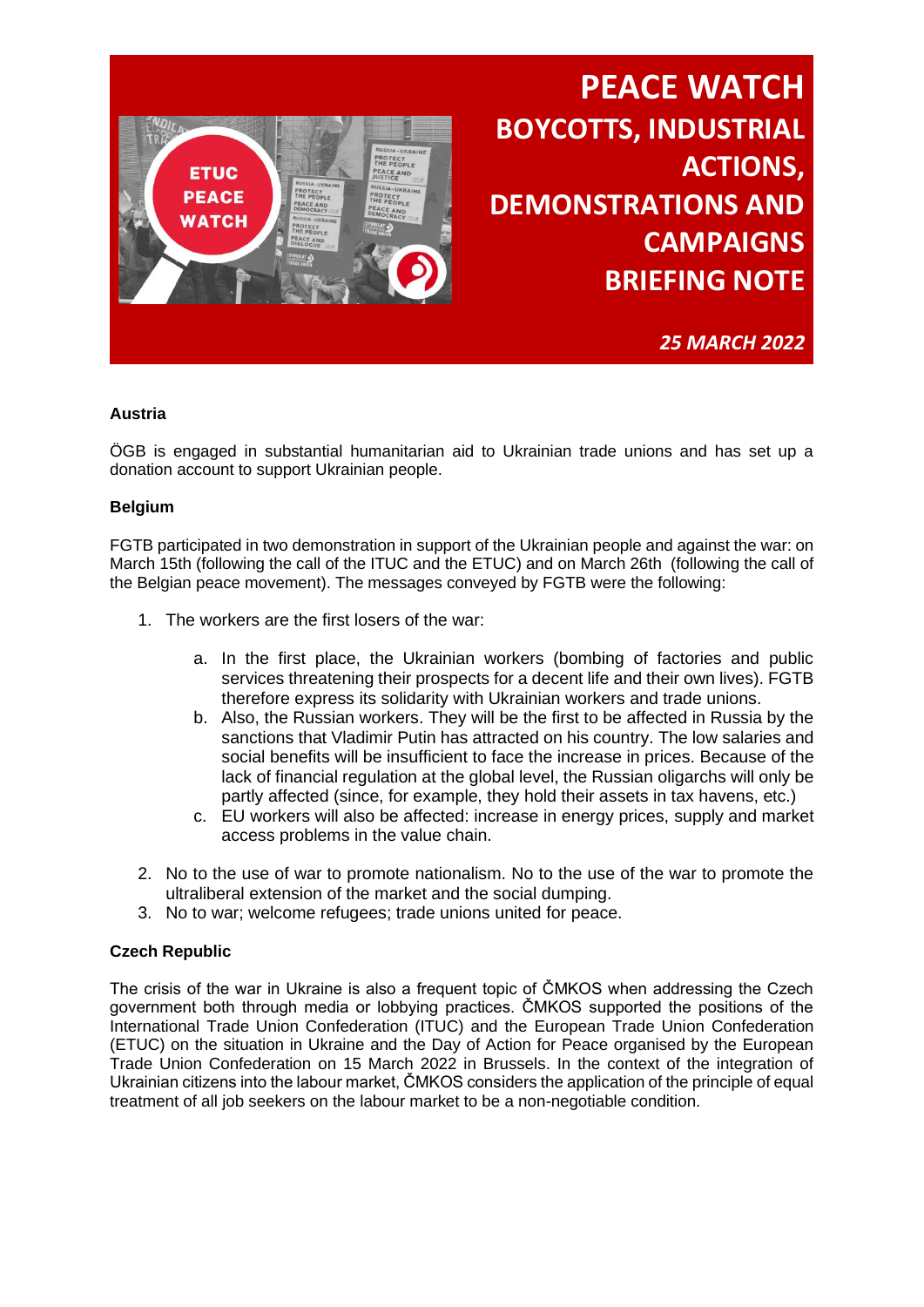

*25 MARCH 2022*

#### **Austria**

ÖGB is engaged in substantial humanitarian aid to Ukrainian trade unions and has set up a donation account to support Ukrainian people.

#### **Belgium**

FGTB participated in two demonstration in support of the Ukrainian people and against the war: on March 15th (following the call of the ITUC and the ETUC) and on March 26th (following the call of the Belgian peace movement). The messages conveyed by FGTB were the following:

- 1. The workers are the first losers of the war:
	- a. In the first place, the Ukrainian workers (bombing of factories and public services threatening their prospects for a decent life and their own lives). FGTB therefore express its solidarity with Ukrainian workers and trade unions.
	- b. Also, the Russian workers. They will be the first to be affected in Russia by the sanctions that Vladimir Putin has attracted on his country. The low salaries and social benefits will be insufficient to face the increase in prices. Because of the lack of financial regulation at the global level, the Russian oligarchs will only be partly affected (since, for example, they hold their assets in tax havens, etc.)
	- c. EU workers will also be affected: increase in energy prices, supply and market access problems in the value chain.
- 2. No to the use of war to promote nationalism. No to the use of the war to promote the ultraliberal extension of the market and the social dumping.
- 3. No to war; welcome refugees; trade unions united for peace.

#### **Czech Republic**

The crisis of the war in Ukraine is also a frequent topic of ČMKOS when addressing the Czech government both through media or lobbying practices. ČMKOS supported the positions of the International Trade Union Confederation (ITUC) and the European Trade Union Confederation (ETUC) on the situation in Ukraine and the Day of Action for Peace organised by the European Trade Union Confederation on 15 March 2022 in Brussels. In the context of the integration of Ukrainian citizens into the labour market, ČMKOS considers the application of the principle of equal treatment of all job seekers on the labour market to be a non-negotiable condition.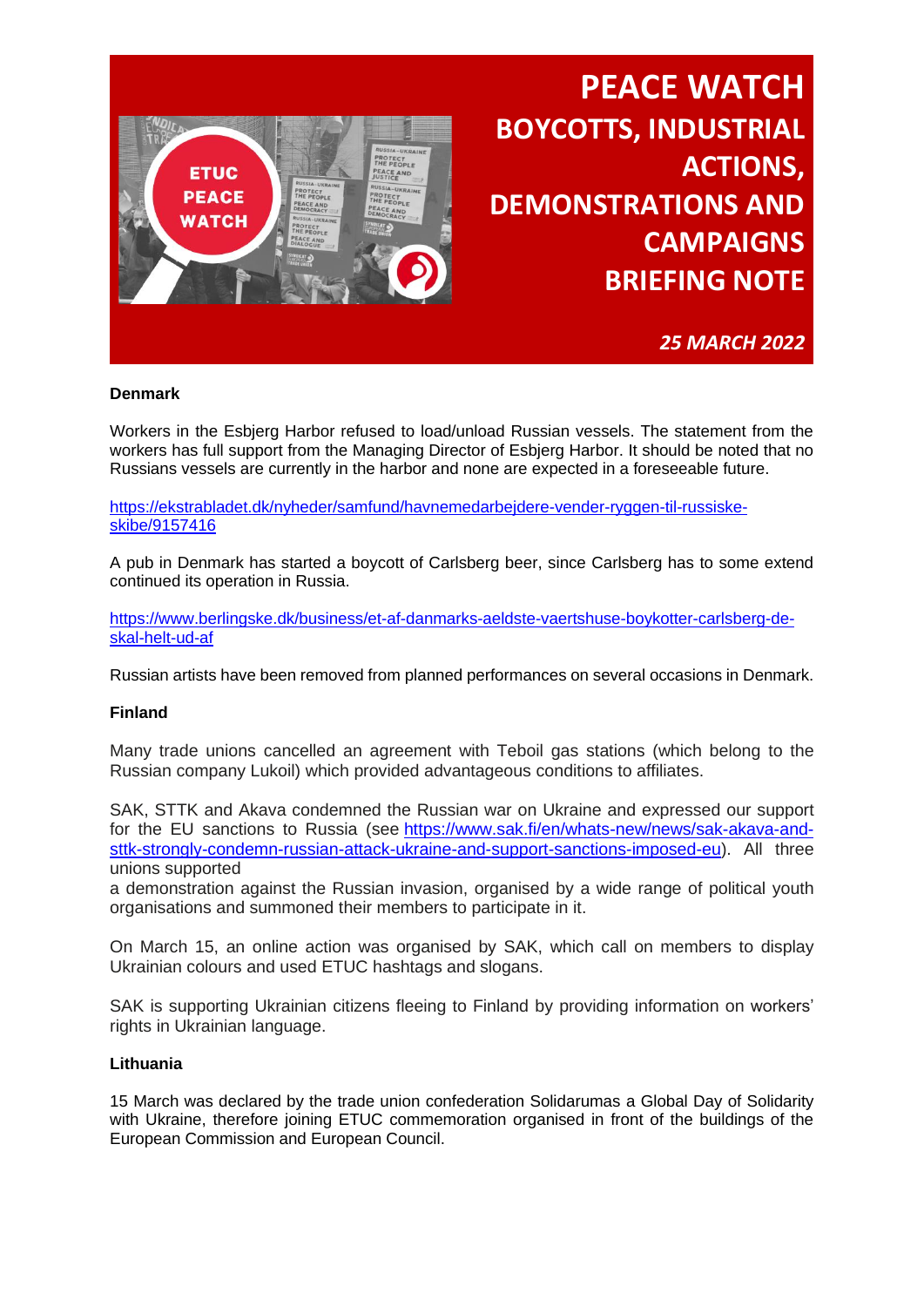

*25 MARCH 2022*

#### **Denmark**

Workers in the Esbjerg Harbor refused to load/unload Russian vessels. The statement from the workers has full support from the Managing Director of Esbjerg Harbor. It should be noted that no Russians vessels are currently in the harbor and none are expected in a foreseeable future.

[https://ekstrabladet.dk/nyheder/samfund/havnemedarbejdere-vender-ryggen-til-russiske](https://ekstrabladet.dk/nyheder/samfund/havnemedarbejdere-vender-ryggen-til-russiske-skibe/9157416)[skibe/9157416](https://ekstrabladet.dk/nyheder/samfund/havnemedarbejdere-vender-ryggen-til-russiske-skibe/9157416)

A pub in Denmark has started a boycott of Carlsberg beer, since Carlsberg has to some extend continued its operation in Russia.

[https://www.berlingske.dk/business/et-af-danmarks-aeldste-vaertshuse-boykotter-carlsberg-de](https://www.berlingske.dk/business/et-af-danmarks-aeldste-vaertshuse-boykotter-carlsberg-de-skal-helt-ud-af)[skal-helt-ud-af](https://www.berlingske.dk/business/et-af-danmarks-aeldste-vaertshuse-boykotter-carlsberg-de-skal-helt-ud-af)

Russian artists have been removed from planned performances on several occasions in Denmark.

#### **Finland**

Many trade unions cancelled an agreement with Teboil gas stations (which belong to the Russian company Lukoil) which provided advantageous conditions to affiliates.

SAK, STTK and Akava condemned the Russian war on Ukraine and expressed our support for the EU sanctions to Russia (see [https://www.sak.fi/en/whats-new/news/sak-akava-and](https://eur01.safelinks.protection.outlook.com/?url=https%3A%2F%2Fwww.sak.fi%2Fen%2Fwhats-new%2Fnews%2Fsak-akava-and-sttk-strongly-condemn-russian-attack-ukraine-and-support-sanctions-imposed-eu&data=04%7C01%7Cidoreste%40etuc.org%7Cf542bf24aebb4fde2d7b08da0ce79ac5%7C7a57d45075f34a4da90dac04a367b91a%7C0%7C0%7C637836486123619009%7CUnknown%7CTWFpbGZsb3d8eyJWIjoiMC4wLjAwMDAiLCJQIjoiV2luMzIiLCJBTiI6Ik1haWwiLCJXVCI6Mn0%3D%7C3000&sdata=jGlGjEDhLVAdWME%2BmRcaaHJXTrvxf0D9QT3ghRFUFos%3D&reserved=0)[sttk-strongly-condemn-russian-attack-ukraine-and-support-sanctions-imposed-eu\)](https://eur01.safelinks.protection.outlook.com/?url=https%3A%2F%2Fwww.sak.fi%2Fen%2Fwhats-new%2Fnews%2Fsak-akava-and-sttk-strongly-condemn-russian-attack-ukraine-and-support-sanctions-imposed-eu&data=04%7C01%7Cidoreste%40etuc.org%7Cf542bf24aebb4fde2d7b08da0ce79ac5%7C7a57d45075f34a4da90dac04a367b91a%7C0%7C0%7C637836486123619009%7CUnknown%7CTWFpbGZsb3d8eyJWIjoiMC4wLjAwMDAiLCJQIjoiV2luMzIiLCJBTiI6Ik1haWwiLCJXVCI6Mn0%3D%7C3000&sdata=jGlGjEDhLVAdWME%2BmRcaaHJXTrvxf0D9QT3ghRFUFos%3D&reserved=0). All three unions supported

a demonstration against the Russian invasion, organised by a wide range of political youth organisations and summoned their members to participate in it.

On March 15, an online action was organised by SAK, which call on members to display Ukrainian colours and used ETUC hashtags and slogans.

SAK is supporting Ukrainian citizens fleeing to Finland by providing information on workers' rights in Ukrainian language.

#### **Lithuania**

15 March was declared by the trade union confederation Solidarumas a Global Day of Solidarity with Ukraine, therefore joining ETUC commemoration organised in front of the buildings of the European Commission and European Council.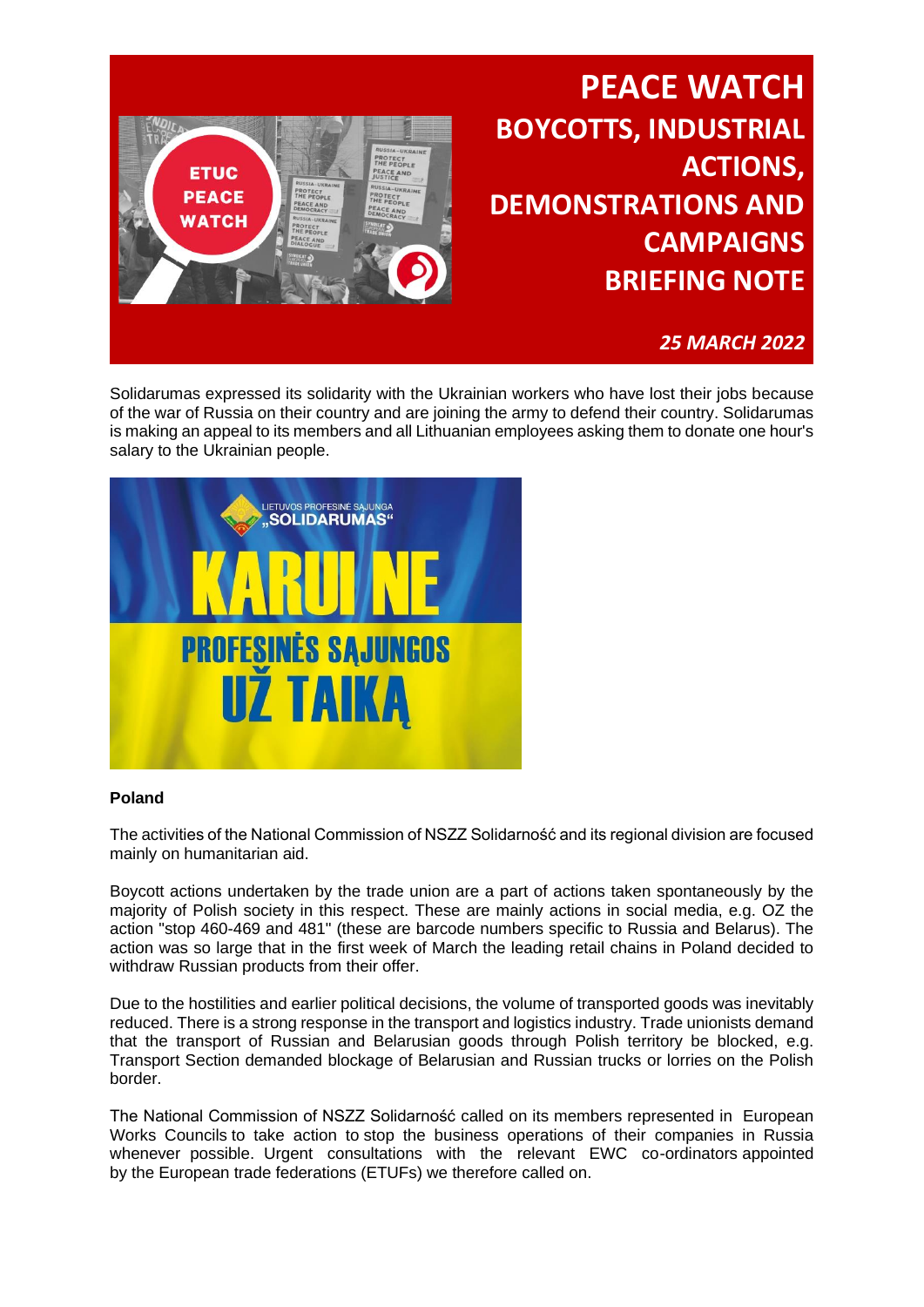

Solidarumas expressed its solidarity with the Ukrainian workers who have lost their jobs because of the war of Russia on their country and are joining the army to defend their country. Solidarumas is making an appeal to its members and all Lithuanian employees asking them to donate one hour's salary to the Ukrainian people.



#### **Poland**

The activities of the National Commission of NSZZ Solidarność and its regional division are focused mainly on humanitarian aid.

Boycott actions undertaken by the trade union are a part of actions taken spontaneously by the majority of Polish society in this respect. These are mainly actions in social media, e.g. OZ the action "stop 460-469 and 481" (these are barcode numbers specific to Russia and Belarus). The action was so large that in the first week of March the leading retail chains in Poland decided to withdraw Russian products from their offer.

Due to the hostilities and earlier political decisions, the volume of transported goods was inevitably reduced. There is a strong response in the transport and logistics industry. Trade unionists demand that the transport of Russian and Belarusian goods through Polish territory be blocked, e.g. Transport Section demanded blockage of Belarusian and Russian trucks or lorries on the Polish border.

The National Commission of NSZZ Solidarność called on its members represented in European Works Councils to take action to stop the business operations of their companies in Russia whenever possible. Urgent consultations with the relevant EWC co-ordinators appointed by the European trade federations (ETUFs) we therefore called on.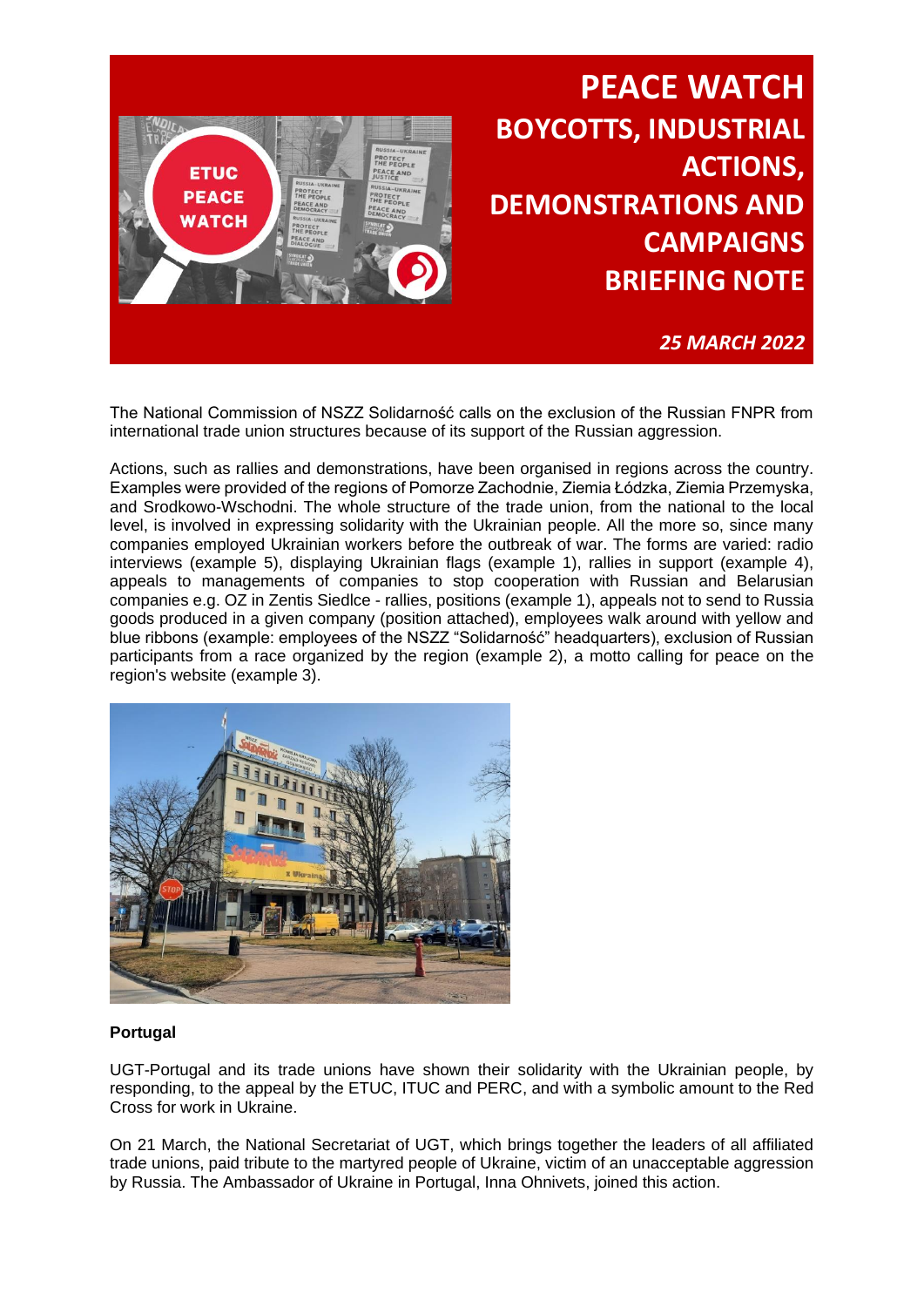

*25 MARCH 2022*

The National Commission of NSZZ Solidarność calls on the exclusion of the Russian FNPR from international trade union structures because of its support of the Russian aggression.

Actions, such as rallies and demonstrations, have been organised in regions across the country. Examples were provided of the regions of Pomorze Zachodnie, Ziemia Łódzka, Ziemia Przemyska, and Srodkowo-Wschodni. The whole structure of the trade union, from the national to the local level, is involved in expressing solidarity with the Ukrainian people. All the more so, since many companies employed Ukrainian workers before the outbreak of war. The forms are varied: radio interviews (example 5), displaying Ukrainian flags (example 1), rallies in support (example 4), appeals to managements of companies to stop cooperation with Russian and Belarusian companies e.g. OZ in Zentis Siedlce - rallies, positions (example 1), appeals not to send to Russia goods produced in a given company (position attached), employees walk around with yellow and blue ribbons (example: employees of the NSZZ "Solidarność" headquarters), exclusion of Russian participants from a race organized by the region (example 2), a motto calling for peace on the region's website (example 3).



#### **Portugal**

UGT-Portugal and its trade unions have shown their solidarity with the Ukrainian people, by responding, to the appeal by the ETUC, ITUC and PERC, and with a symbolic amount to the Red Cross for work in Ukraine.

On 21 March, the National Secretariat of UGT, which brings together the leaders of all affiliated trade unions, paid tribute to the martyred people of Ukraine, victim of an unacceptable aggression by Russia. The Ambassador of Ukraine in Portugal, Inna Ohnivets, joined this action.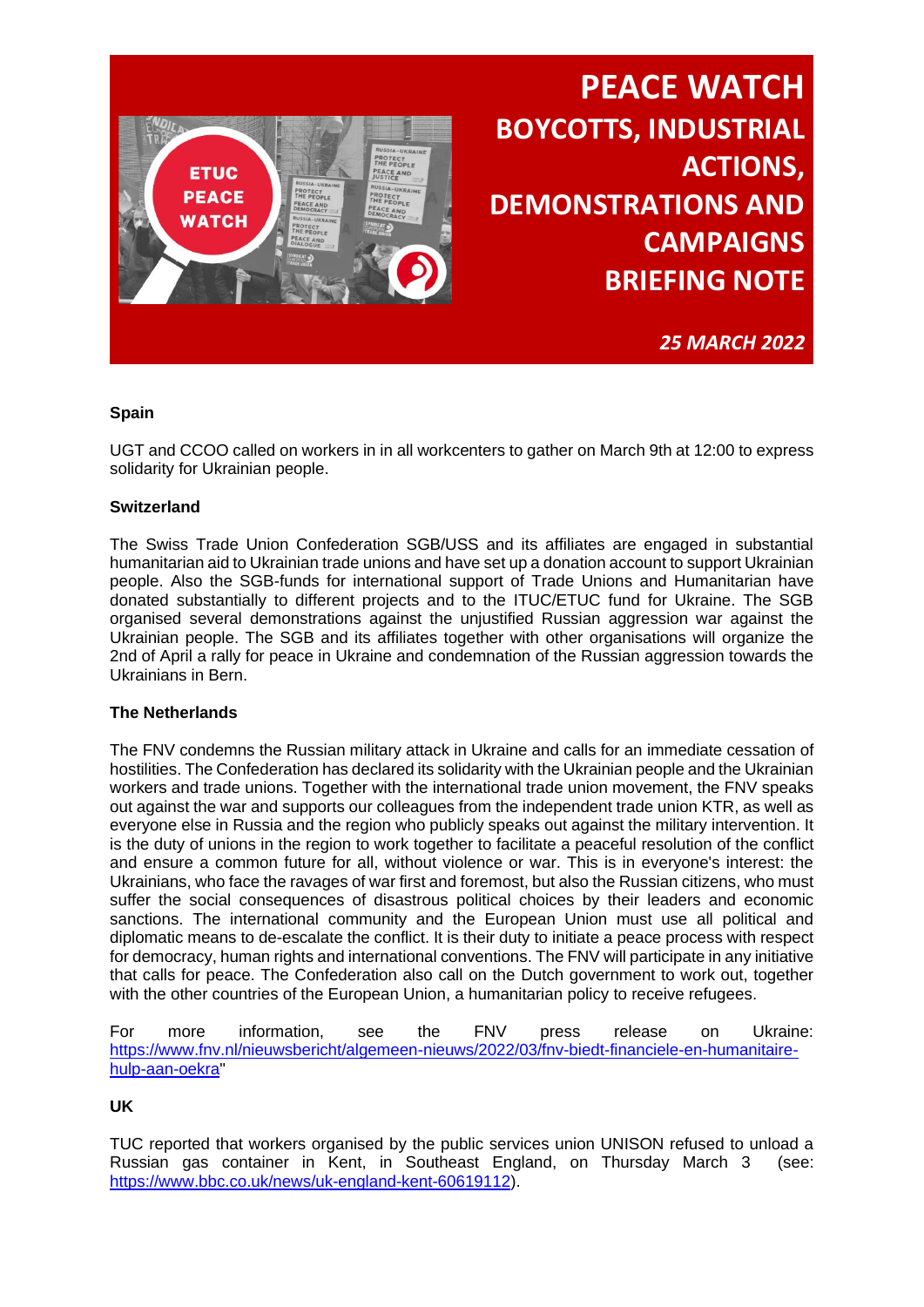

*25 MARCH 2022*

#### **Spain**

UGT and CCOO called on workers in in all workcenters to gather on March 9th at 12:00 to express solidarity for Ukrainian people.

#### **Switzerland**

The Swiss Trade Union Confederation SGB/USS and its affiliates are engaged in substantial humanitarian aid to Ukrainian trade unions and have set up a donation account to support Ukrainian people. Also the SGB-funds for international support of Trade Unions and Humanitarian have donated substantially to different projects and to the ITUC/ETUC fund for Ukraine. The SGB organised several demonstrations against the unjustified Russian aggression war against the Ukrainian people. The SGB and its affiliates together with other organisations will organize the 2nd of April a rally for peace in Ukraine and condemnation of the Russian aggression towards the Ukrainians in Bern.

#### **The Netherlands**

The FNV condemns the Russian military attack in Ukraine and calls for an immediate cessation of hostilities. The Confederation has declared its solidarity with the Ukrainian people and the Ukrainian workers and trade unions. Together with the international trade union movement, the FNV speaks out against the war and supports our colleagues from the independent trade union KTR, as well as everyone else in Russia and the region who publicly speaks out against the military intervention. It is the duty of unions in the region to work together to facilitate a peaceful resolution of the conflict and ensure a common future for all, without violence or war. This is in everyone's interest: the Ukrainians, who face the ravages of war first and foremost, but also the Russian citizens, who must suffer the social consequences of disastrous political choices by their leaders and economic sanctions. The international community and the European Union must use all political and diplomatic means to de-escalate the conflict. It is their duty to initiate a peace process with respect for democracy, human rights and international conventions. The FNV will participate in any initiative that calls for peace. The Confederation also call on the Dutch government to work out, together with the other countries of the European Union, a humanitarian policy to receive refugees.

For more information, see the FNV press release on Ukraine: [https://www.fnv.nl/nieuwsbericht/algemeen-nieuws/2022/03/fnv-biedt-financiele-en-humanitaire](https://www.fnv.nl/nieuwsbericht/algemeen-nieuws/2022/03/fnv-biedt-financiele-en-humanitaire-hulp-aan-oekra)[hulp-aan-oekra"](https://www.fnv.nl/nieuwsbericht/algemeen-nieuws/2022/03/fnv-biedt-financiele-en-humanitaire-hulp-aan-oekra)

**UK**

TUC reported that workers organised by the public services union UNISON refused to unload a Russian gas container in Kent, in Southeast England, on Thursday March 3 (see: [https://www.bbc.co.uk/news/uk-england-kent-60619112\)](https://www.bbc.co.uk/news/uk-england-kent-60619112).